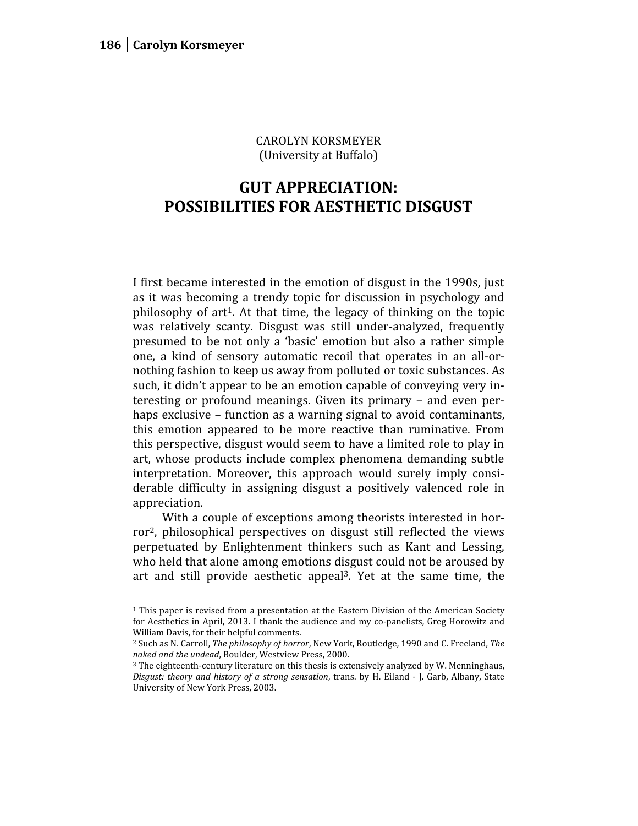CAROLYN KORSMEYER (University at Buffalo)

## **GUT APPRECIATION: POSSIBILITIES FOR AESTHETIC DISGUST**

I first became interested in the emotion of disgust in the 1990s, just as it was becoming a trendy topic for discussion in psychology and philosophy of art<sup>1</sup>. At that time, the legacy of thinking on the topic was relatively scanty. Disgust was still under-analyzed, frequently presumed to be not only a 'basic' emotion but also a rather simple one, a kind of sensory automatic recoil that operates in an all-or nothing fashion to keep us away from polluted or toxic substances. As such, it didn't appear to be an emotion capable of conveying very interesting or profound meanings. Given its primary – and even perhaps exclusive – function as a warning signal to avoid contaminants, this emotion appeared to be more reactive than ruminative. From this perspective, disgust would seem to have a limited role to play in art, whose products include complex phenomena demanding subtle interpretation. Moreover, this approach would surely imply considerable difficulty in assigning disgust a positively valenced role in appreciation.

With a couple of exceptions among theorists interested in horror<sup>2</sup>, philosophical perspectives on disgust still reflected the views perpetuated by Enlightenment thinkers such as Kant and Lessing, who held that alone among emotions disgust could not be aroused by art and still provide aesthetic appeal<sup>3</sup>. Yet at the same time, the

<sup>1</sup> This paper is revised from a presentation at the Eastern Division of the American Society for Aesthetics in April, 2013. I thank the audience and my co-panelists, Greg Horowitz and William Davis, for their helpful comments.

<sup>2</sup> Such as N. Carroll, *The philosophy of horror*, New York, Routledge, 1990 and C. Freeland, *The naked and the undead*, Boulder, Westview Press, 2000.

<sup>&</sup>lt;sup>3</sup> The eighteenth-century literature on this thesis is extensively analyzed by W. Menninghaus, *Disgust: theory and history of a strong sensation*, trans. by H. Eiland - J. Garb, Albany, State University of New York Press, 2003.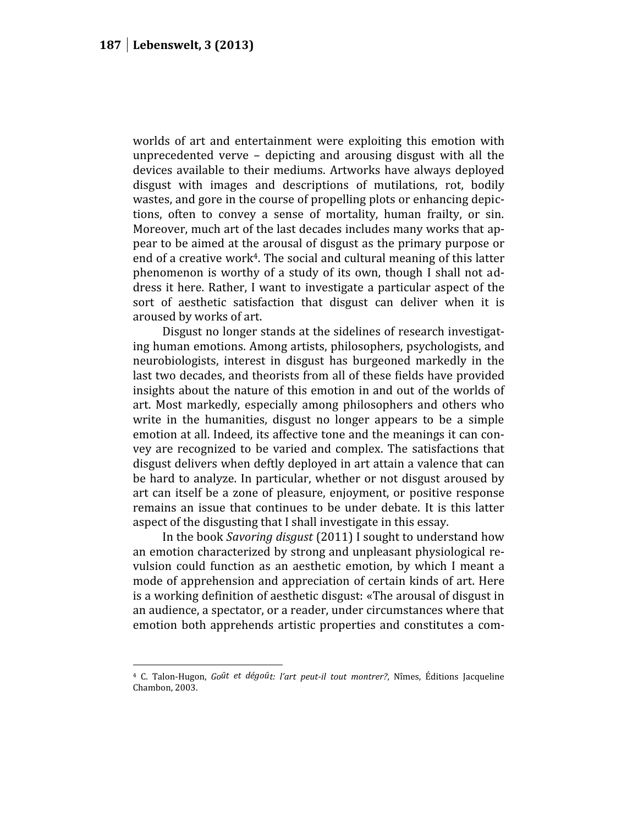worlds of art and entertainment were exploiting this emotion with unprecedented verve – depicting and arousing disgust with all the devices available to their mediums. Artworks have always deployed disgust with images and descriptions of mutilations, rot, bodily wastes, and gore in the course of propelling plots or enhancing depictions, often to convey a sense of mortality, human frailty, or sin. Moreover, much art of the last decades includes many works that appear to be aimed at the arousal of disgust as the primary purpose or end of a creative work<sup>4</sup>. The social and cultural meaning of this latter phenomenon is worthy of a study of its own, though I shall not address it here. Rather, I want to investigate a particular aspect of the sort of aesthetic satisfaction that disgust can deliver when it is aroused by works of art.

Disgust no longer stands at the sidelines of research investigating human emotions. Among artists, philosophers, psychologists, and neurobiologists, interest in disgust has burgeoned markedly in the last two decades, and theorists from all of these fields have provided insights about the nature of this emotion in and out of the worlds of art. Most markedly, especially among philosophers and others who write in the humanities, disgust no longer appears to be a simple emotion at all. Indeed, its affective tone and the meanings it can convey are recognized to be varied and complex. The satisfactions that disgust delivers when deftly deployed in art attain a valence that can be hard to analyze. In particular, whether or not disgust aroused by art can itself be a zone of pleasure, enjoyment, or positive response remains an issue that continues to be under debate. It is this latter aspect of the disgusting that I shall investigate in this essay.

In the book *Savoring disgust* (2011) I sought to understand how an emotion characterized by strong and unpleasant physiological revulsion could function as an aesthetic emotion, by which I meant a mode of apprehension and appreciation of certain kinds of art. Here is a working definition of aesthetic disgust: «The arousal of disgust in an audience, a spectator, or a reader, under circumstances where that emotion both apprehends artistic properties and constitutes a com-

<sup>4</sup> C. Talon-Hugon, *Goȗt et dégoȗt: l'art peut-il tout montrer?*, Nîmes, Éditions Jacqueline Chambon, 2003.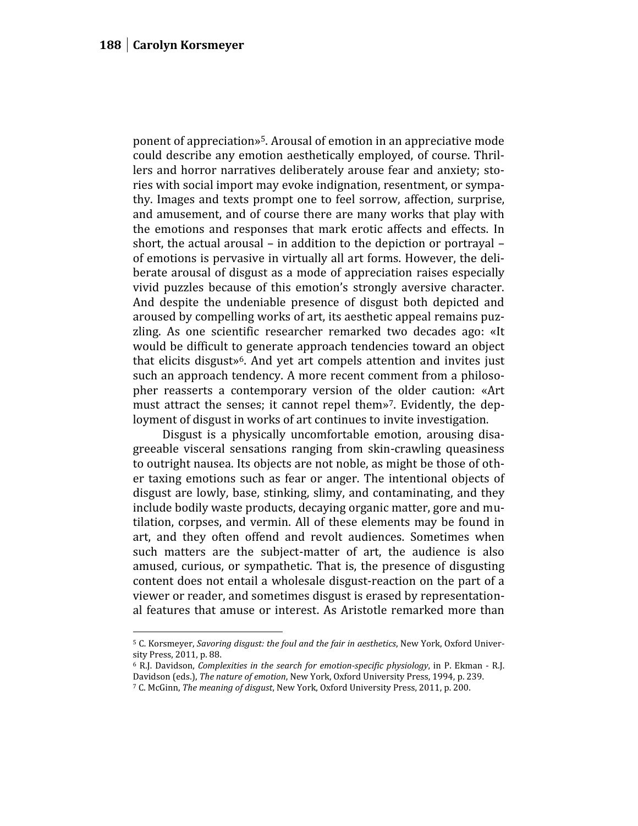ponent of appreciation»<sup>5</sup>. Arousal of emotion in an appreciative mode could describe any emotion aesthetically employed, of course. Thrillers and horror narratives deliberately arouse fear and anxiety; stories with social import may evoke indignation, resentment, or sympathy. Images and texts prompt one to feel sorrow, affection, surprise, and amusement, and of course there are many works that play with the emotions and responses that mark erotic affects and effects. In short, the actual arousal – in addition to the depiction or portrayal – of emotions is pervasive in virtually all art forms. However, the deliberate arousal of disgust as a mode of appreciation raises especially vivid puzzles because of this emotion's strongly aversive character. And despite the undeniable presence of disgust both depicted and aroused by compelling works of art, its aesthetic appeal remains puzzling. As one scientific researcher remarked two decades ago: «It would be difficult to generate approach tendencies toward an object that elicits disgust»<sup>6</sup>. And yet art compels attention and invites just such an approach tendency. A more recent comment from a philosopher reasserts a contemporary version of the older caution: «Art must attract the senses; it cannot repel them» <sup>7</sup>. Evidently, the deployment of disgust in works of art continues to invite investigation.

Disgust is a physically uncomfortable emotion, arousing disagreeable visceral sensations ranging from skin-crawling queasiness to outright nausea. Its objects are not noble, as might be those of other taxing emotions such as fear or anger. The intentional objects of disgust are lowly, base, stinking, slimy, and contaminating, and they include bodily waste products, decaying organic matter, gore and mutilation, corpses, and vermin. All of these elements may be found in art, and they often offend and revolt audiences. Sometimes when such matters are the subject-matter of art, the audience is also amused, curious, or sympathetic. That is, the presence of disgusting content does not entail a wholesale disgust-reaction on the part of a viewer or reader, and sometimes disgust is erased by representational features that amuse or interest. As Aristotle remarked more than

<sup>5</sup> C. Korsmeyer, *Savoring disgust: the foul and the fair in aesthetics*, New York, Oxford Univer sity Press, 2011, p. 88.

<sup>6</sup> R.J. Davidson, *Complexities in the search for emotion-specific physiology*, in P. Ekman - R.J. Davidson (eds.), *The nature of emotion*, New York, Oxford University Press, 1994, p. 239.

<sup>7</sup> C. McGinn, *The meaning of disgust*, New York, Oxford University Press, 2011, p. 200.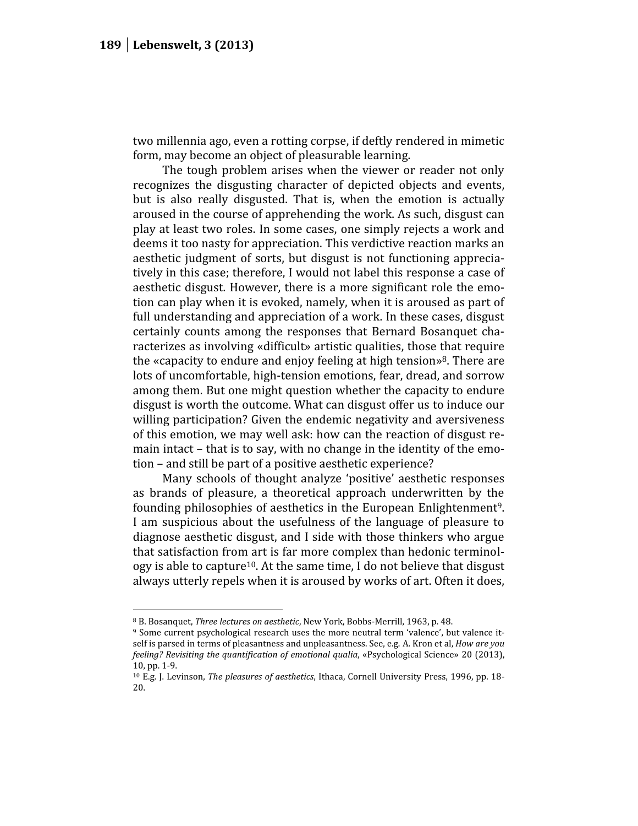two millennia ago, even a rotting corpse, if deftly rendered in mimetic form, may become an object of pleasurable learning.

The tough problem arises when the viewer or reader not only recognizes the disgusting character of depicted objects and events, but is also really disgusted. That is, when the emotion is actually aroused in the course of apprehending the work. As such, disgust can play at least two roles. In some cases, one simply rejects a work and deems it too nasty for appreciation. This verdictive reaction marks an aesthetic judgment of sorts, but disgust is not functioning appreciatively in this case; therefore, I would not label this response a case of aesthetic disgust. However, there is a more significant role the emotion can play when it is evoked, namely, when it is aroused as part of full understanding and appreciation of a work. In these cases, disgust certainly counts among the responses that Bernard Bosanquet characterizes as involving «difficult» artistic qualities, those that require the «capacity to endure and enjoy feeling at high tension» <sup>8</sup>. There are lots of uncomfortable, high-tension emotions, fear, dread, and sorrow among them. But one might question whether the capacity to endure disgust is worth the outcome. What can disgust offer us to induce our willing participation? Given the endemic negativity and aversiveness of this emotion, we may well ask: how can the reaction of disgust remain intact – that is to say, with no change in the identity of the emotion – and still be part of a positive aesthetic experience?

Many schools of thought analyze 'positive' aesthetic responses as brands of pleasure, a theoretical approach underwritten by the founding philosophies of aesthetics in the European Enlightenment<sup>9</sup>. I am suspicious about the usefulness of the language of pleasure to diagnose aesthetic disgust, and I side with those thinkers who argue that satisfaction from art is far more complex than hedonic terminology is able to capture<sup>10</sup>. At the same time, I do not believe that disgust always utterly repels when it is aroused by works of art. Often it does,

<sup>8</sup> B. Bosanquet, *Three lectures on aesthetic*, New York, Bobbs-Merrill, 1963, p. 48.

<sup>9</sup> Some current psychological research uses the more neutral term 'valence', but valence itself is parsed in terms of pleasantness and unpleasantness. See, e.g. A. Kron et al, *How are you feeling? Revisiting the quantification of emotional qualia*, «Psychological Science» 20 (2013), 10, pp. 1-9.

<sup>10</sup> E.g. J. Levinson, *The pleasures of aesthetics*, Ithaca, Cornell University Press, 1996, pp. 18- 20.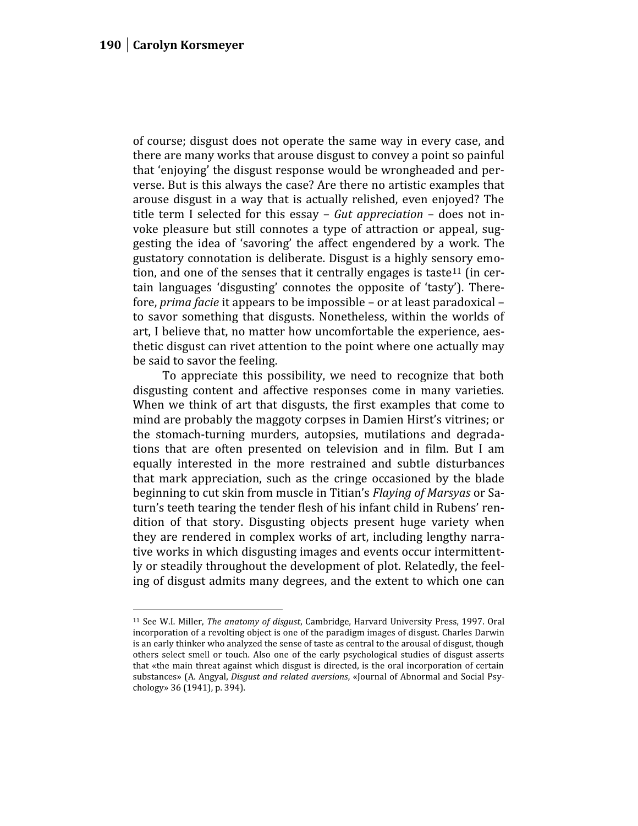of course; disgust does not operate the same way in every case, and there are many works that arouse disgust to convey a point so painful that 'enjoying' the disgust response would be wrongheaded and perverse. But is this always the case? Are there no artistic examples that arouse disgust in a way that is actually relished, even enjoyed? The title term I selected for this essay – *Gut appreciation* – does not invoke pleasure but still connotes a type of attraction or appeal, suggesting the idea of 'savoring' the affect engendered by a work. The gustatory connotation is deliberate. Disgust is a highly sensory emotion, and one of the senses that it centrally engages is taste<sup>11</sup> (in certain languages 'disgusting' connotes the opposite of 'tasty'). Therefore, *prima facie* it appears to be impossible – or at least paradoxical – to savor something that disgusts. Nonetheless, within the worlds of art, I believe that, no matter how uncomfortable the experience, aesthetic disgust can rivet attention to the point where one actually may be said to savor the feeling.

To appreciate this possibility, we need to recognize that both disgusting content and affective responses come in many varieties. When we think of art that disgusts, the first examples that come to mind are probably the maggoty corpses in Damien Hirst's vitrines; or the stomach-turning murders, autopsies, mutilations and degradations that are often presented on television and in film. But I am equally interested in the more restrained and subtle disturbances that mark appreciation, such as the cringe occasioned by the blade beginning to cut skin from muscle in Titian's *Flaying of Marsyas* or Saturn's teeth tearing the tender flesh of his infant child in Rubens' rendition of that story. Disgusting objects present huge variety when they are rendered in complex works of art, including lengthy narrative works in which disgusting images and events occur intermittently or steadily throughout the development of plot. Relatedly, the feeling of disgust admits many degrees, and the extent to which one can

<sup>11</sup> See W.I. Miller, *The anatomy of disgust*, Cambridge, Harvard University Press, 1997. Oral incorporation of a revolting object is one of the paradigm images of disgust. Charles Darwin is an early thinker who analyzed the sense of taste as central to the arousal of disgust, though others select smell or touch. Also one of the early psychological studies of disgust asserts that «the main threat against which disgust is directed, is the oral incorporation of certain substances» (A. Angyal, *Disgust and related aversions*, «Journal of Abnormal and Social Psychology» 36 (1941), p. 394).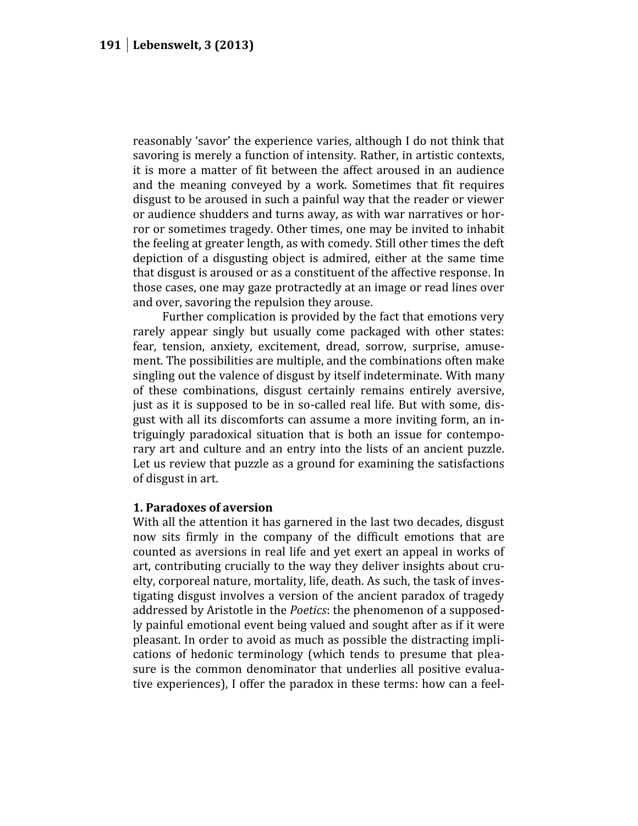reasonably 'savor' the experience varies, although I do not think that savoring is merely a function of intensity. Rather, in artistic contexts, it is more a matter of fit between the affect aroused in an audience and the meaning conveyed by a work. Sometimes that fit requires disgust to be aroused in such a painful way that the reader or viewer or audience shudders and turns away, as with war narratives or horror or sometimes tragedy. Other times, one may be invited to inhabit the feeling at greater length, as with comedy. Still other times the deft depiction of a disgusting object is admired, either at the same time that disgust is aroused or as a constituent of the affective response. In those cases, one may gaze protractedly at an image or read lines over and over, savoring the repulsion they arouse.

Further complication is provided by the fact that emotions very rarely appear singly but usually come packaged with other states: fear, tension, anxiety, excitement, dread, sorrow, surprise, amusement. The possibilities are multiple, and the combinations often make singling out the valence of disgust by itself indeterminate. With many of these combinations, disgust certainly remains entirely aversive, just as it is supposed to be in so-called real life. But with some, disgust with all its discomforts can assume a more inviting form, an intriguingly paradoxical situation that is both an issue for contemporary art and culture and an entry into the lists of an ancient puzzle. Let us review that puzzle as a ground for examining the satisfactions of disgust in art.

## **1. Paradoxes of aversion**

With all the attention it has garnered in the last two decades, disgust now sits firmly in the company of the difficult emotions that are counted as aversions in real life and yet exert an appeal in works of art, contributing crucially to the way they deliver insights about cruelty, corporeal nature, mortality, life, death. As such, the task of investigating disgust involves a version of the ancient paradox of tragedy addressed by Aristotle in the *Poetics*: the phenomenon of a supposedly painful emotional event being valued and sought after as if it were pleasant. In order to avoid as much as possible the distracting implications of hedonic terminology (which tends to presume that pleasure is the common denominator that underlies all positive evaluative experiences), I offer the paradox in these terms: how can a feel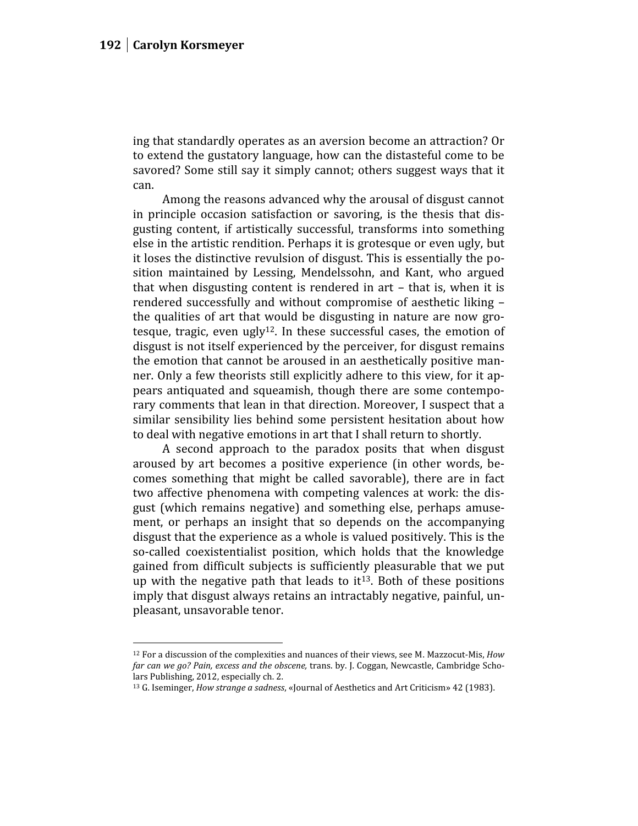ing that standardly operates as an aversion become an attraction? Or to extend the gustatory language, how can the distasteful come to be savored? Some still say it simply cannot; others suggest ways that it can.

Among the reasons advanced why the arousal of disgust cannot in principle occasion satisfaction or savoring, is the thesis that disgusting content, if artistically successful, transforms into something else in the artistic rendition. Perhaps it is grotesque or even ugly, but it loses the distinctive revulsion of disgust. This is essentially the position maintained by Lessing, Mendelssohn, and Kant, who argued that when disgusting content is rendered in art – that is, when it is rendered successfully and without compromise of aesthetic liking – the qualities of art that would be disgusting in nature are now grotesque, tragic, even ugly $12$ . In these successful cases, the emotion of disgust is not itself experienced by the perceiver, for disgust remains the emotion that cannot be aroused in an aesthetically positive manner. Only a few theorists still explicitly adhere to this view, for it appears antiquated and squeamish, though there are some contemporary comments that lean in that direction. Moreover, I suspect that a similar sensibility lies behind some persistent hesitation about how to deal with negative emotions in art that I shall return to shortly.

A second approach to the paradox posits that when disgust aroused by art becomes a positive experience (in other words, becomes something that might be called savorable), there are in fact two affective phenomena with competing valences at work: the disgust (which remains negative) and something else, perhaps amusement, or perhaps an insight that so depends on the accompanying disgust that the experience as a whole is valued positively. This is the so-called coexistentialist position, which holds that the knowledge gained from difficult subjects is sufficiently pleasurable that we put up with the negative path that leads to  $it^{13}$ . Both of these positions imply that disgust always retains an intractably negative, painful, unpleasant, unsavorable tenor.

<sup>12</sup> For a discussion of the complexities and nuances of their views, see M. Mazzocut-Mis, *How far can we go? Pain, excess and the obscene,* trans. by. J. Coggan, Newcastle, Cambridge Scholars Publishing, 2012, especially ch. 2.

<sup>13</sup> G. Iseminger, *How strange a sadness*, «Journal of Aesthetics and Art Criticism» 42 (1983).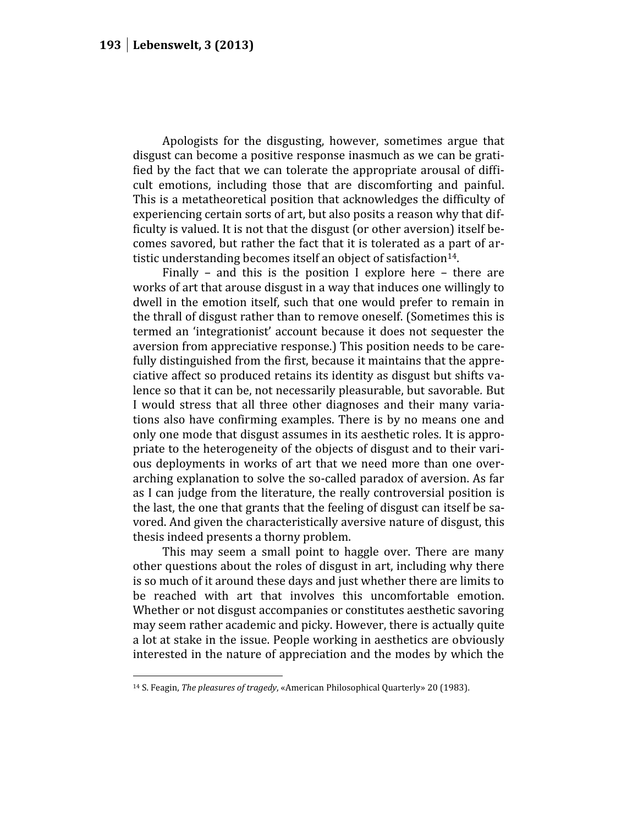Apologists for the disgusting, however, sometimes argue that disgust can become a positive response inasmuch as we can be gratified by the fact that we can tolerate the appropriate arousal of difficult emotions, including those that are discomforting and painful. This is a metatheoretical position that acknowledges the difficulty of experiencing certain sorts of art, but also posits a reason why that difficulty is valued. It is not that the disgust (or other aversion) itself becomes savored, but rather the fact that it is tolerated as a part of artistic understanding becomes itself an object of satisfaction<sup>14</sup>.

Finally – and this is the position I explore here – there are works of art that arouse disgust in a way that induces one willingly to dwell in the emotion itself, such that one would prefer to remain in the thrall of disgust rather than to remove oneself. (Sometimes this is termed an 'integrationist' account because it does not sequester the aversion from appreciative response.) This position needs to be carefully distinguished from the first, because it maintains that the appreciative affect so produced retains its identity as disgust but shifts valence so that it can be, not necessarily pleasurable, but savorable*.* But I would stress that all three other diagnoses and their many variations also have confirming examples. There is by no means one and only one mode that disgust assumes in its aesthetic roles. It is appropriate to the heterogeneity of the objects of disgust and to their various deployments in works of art that we need more than one overarching explanation to solve the so-called paradox of aversion. As far as I can judge from the literature, the really controversial position is the last, the one that grants that the feeling of disgust can itself be savored. And given the characteristically aversive nature of disgust, this thesis indeed presents a thorny problem.

This may seem a small point to haggle over. There are many other questions about the roles of disgust in art, including why there is so much of it around these days and just whether there are limits to be reached with art that involves this uncomfortable emotion. Whether or not disgust accompanies or constitutes aesthetic savoring may seem rather academic and picky. However, there is actually quite a lot at stake in the issue. People working in aesthetics are obviously interested in the nature of appreciation and the modes by which the

<sup>14</sup> S. Feagin, *The pleasures of tragedy*, «American Philosophical Quarterly» 20 (1983).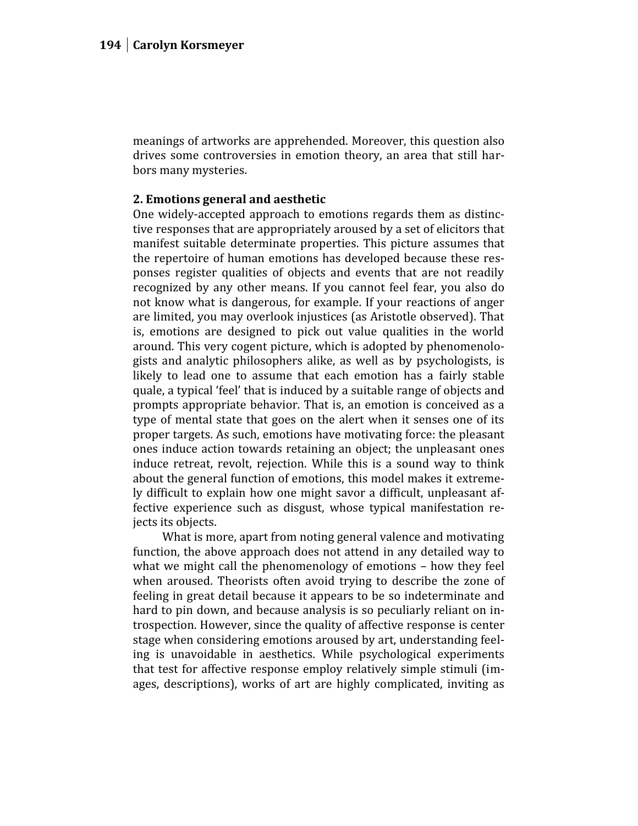meanings of artworks are apprehended. Moreover, this question also drives some controversies in emotion theory, an area that still harbors many mysteries.

## **2. Emotions general and aesthetic**

One widely-accepted approach to emotions regards them as distinctive responses that are appropriately aroused by a set of elicitors that manifest suitable determinate properties. This picture assumes that the repertoire of human emotions has developed because these responses register qualities of objects and events that are not readily recognized by any other means. If you cannot feel fear, you also do not know what is dangerous, for example. If your reactions of anger are limited, you may overlook injustices (as Aristotle observed). That is, emotions are designed to pick out value qualities in the world around. This very cogent picture, which is adopted by phenomenologists and analytic philosophers alike, as well as by psychologists, is likely to lead one to assume that each emotion has a fairly stable quale, a typical 'feel' that is induced by a suitable range of objects and prompts appropriate behavior. That is, an emotion is conceived as a type of mental state that goes on the alert when it senses one of its proper targets. As such, emotions have motivating force: the pleasant ones induce action towards retaining an object; the unpleasant ones induce retreat, revolt, rejection. While this is a sound way to think about the general function of emotions, this model makes it extremely difficult to explain how one might savor a difficult, unpleasant affective experience such as disgust, whose typical manifestation rejects its objects.

What is more, apart from noting general valence and motivating function, the above approach does not attend in any detailed way to what we might call the phenomenology of emotions – how they feel when aroused. Theorists often avoid trying to describe the zone of feeling in great detail because it appears to be so indeterminate and hard to pin down, and because analysis is so peculiarly reliant on introspection. However, since the quality of affective response is center stage when considering emotions aroused by art, understanding feeling is unavoidable in aesthetics. While psychological experiments that test for affective response employ relatively simple stimuli (images, descriptions), works of art are highly complicated, inviting as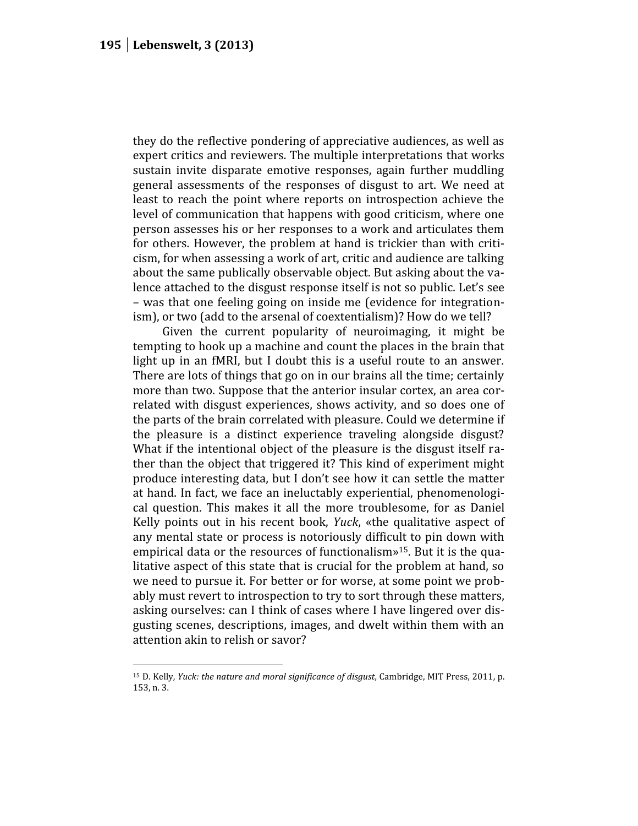they do the reflective pondering of appreciative audiences, as well as expert critics and reviewers. The multiple interpretations that works sustain invite disparate emotive responses, again further muddling general assessments of the responses of disgust to art. We need at least to reach the point where reports on introspection achieve the level of communication that happens with good criticism, where one person assesses his or her responses to a work and articulates them for others. However, the problem at hand is trickier than with criticism, for when assessing a work of art, critic and audience are talking about the same publically observable object. But asking about the valence attached to the disgust response itself is not so public. Let's see – was that one feeling going on inside me (evidence for integrationism), or two (add to the arsenal of coextentialism)? How do we tell?

Given the current popularity of neuroimaging, it might be tempting to hook up a machine and count the places in the brain that light up in an fMRI, but I doubt this is a useful route to an answer. There are lots of things that go on in our brains all the time; certainly more than two. Suppose that the anterior insular cortex, an area correlated with disgust experiences, shows activity, and so does one of the parts of the brain correlated with pleasure. Could we determine if the pleasure is a distinct experience traveling alongside disgust? What if the intentional object of the pleasure is the disgust itself rather than the object that triggered it? This kind of experiment might produce interesting data, but I don't see how it can settle the matter at hand. In fact, we face an ineluctably experiential, phenomenological question. This makes it all the more troublesome, for as Daniel Kelly points out in his recent book, *Yuck*, «the qualitative aspect of any mental state or process is notoriously difficult to pin down with empirical data or the resources of functionalism» <sup>15</sup>. But it is the qualitative aspect of this state that is crucial for the problem at hand, so we need to pursue it. For better or for worse, at some point we probably must revert to introspection to try to sort through these matters, asking ourselves: can I think of cases where I have lingered over disgusting scenes, descriptions, images, and dwelt within them with an attention akin to relish or savor?

<sup>15</sup> D. Kelly, *Yuck: the nature and moral significance of disgust*, Cambridge, MIT Press, 2011, p. 153, n. 3.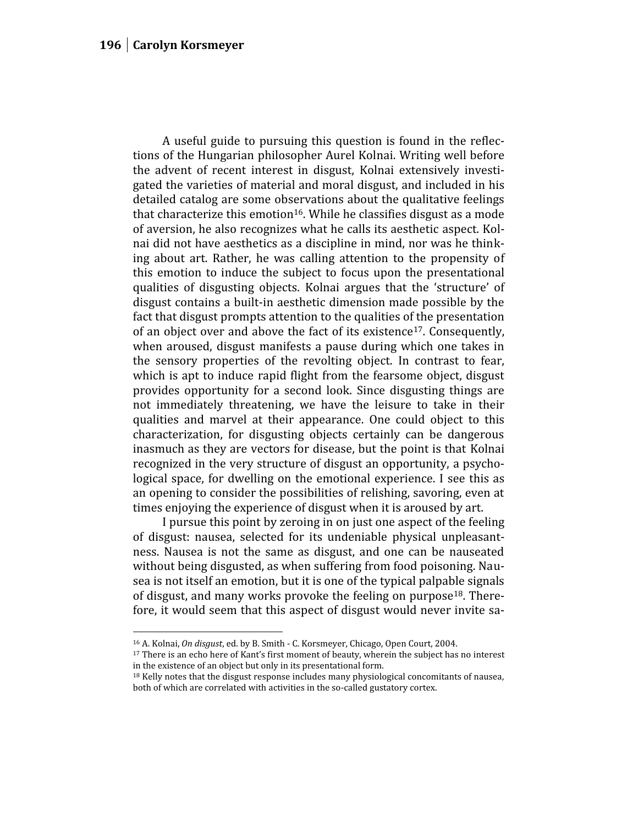A useful guide to pursuing this question is found in the reflections of the Hungarian philosopher Aurel Kolnai. Writing well before the advent of recent interest in disgust, Kolnai extensively investigated the varieties of material and moral disgust, and included in his detailed catalog are some observations about the qualitative feelings that characterize this emotion<sup>16</sup>. While he classifies disgust as a mode of aversion, he also recognizes what he calls its aesthetic aspect. Kolnai did not have aesthetics as a discipline in mind, nor was he thinking about art. Rather, he was calling attention to the propensity of this emotion to induce the subject to focus upon the presentational qualities of disgusting objects. Kolnai argues that the 'structure' of disgust contains a built-in aesthetic dimension made possible by the fact that disgust prompts attention to the qualities of the presentation of an object over and above the fact of its existence<sup>17</sup>. Consequently, when aroused, disgust manifests a pause during which one takes in the sensory properties of the revolting object. In contrast to fear, which is apt to induce rapid flight from the fearsome object, disgust provides opportunity for a second look. Since disgusting things are not immediately threatening, we have the leisure to take in their qualities and marvel at their appearance. One could object to this characterization, for disgusting objects certainly can be dangerous inasmuch as they are vectors for disease, but the point is that Kolnai recognized in the very structure of disgust an opportunity, a psychological space, for dwelling on the emotional experience. I see this as an opening to consider the possibilities of relishing, savoring, even at times enjoying the experience of disgust when it is aroused by art.

I pursue this point by zeroing in on just one aspect of the feeling of disgust: nausea, selected for its undeniable physical unpleasantness. Nausea is not the same as disgust, and one can be nauseated without being disgusted, as when suffering from food poisoning. Nausea is not itself an emotion, but it is one of the typical palpable signals of disgust, and many works provoke the feeling on purpose<sup>18</sup>. Therefore, it would seem that this aspect of disgust would never invite sa-

<sup>16</sup> A. Kolnai, *On disgust*, ed. by B. Smith - C. Korsmeyer, Chicago, Open Court, 2004.

<sup>&</sup>lt;sup>17</sup> There is an echo here of Kant's first moment of beauty, wherein the subject has no interest in the existence of an object but only in its presentational form.

<sup>&</sup>lt;sup>18</sup> Kelly notes that the disgust response includes many physiological concomitants of nausea, both of which are correlated with activities in the so-called gustatory cortex.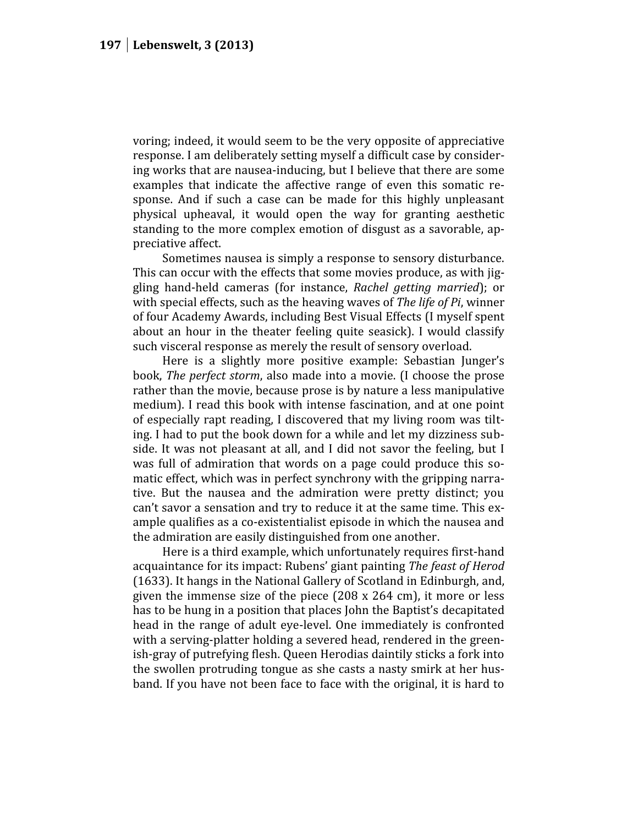voring; indeed, it would seem to be the very opposite of appreciative response. I am deliberately setting myself a difficult case by considering works that are nausea-inducing, but I believe that there are some examples that indicate the affective range of even this somatic response. And if such a case can be made for this highly unpleasant physical upheaval, it would open the way for granting aesthetic standing to the more complex emotion of disgust as a savorable, appreciative affect.

Sometimes nausea is simply a response to sensory disturbance. This can occur with the effects that some movies produce, as with jiggling hand-held cameras (for instance, *Rachel getting married*); or with special effects, such as the heaving waves of *The life of Pi*, winner of four Academy Awards, including Best Visual Effects (I myself spent about an hour in the theater feeling quite seasick). I would classify such visceral response as merely the result of sensory overload.

Here is a slightly more positive example: Sebastian Junger's book, *The perfect storm*, also made into a movie. (I choose the prose rather than the movie, because prose is by nature a less manipulative medium). I read this book with intense fascination, and at one point of especially rapt reading, I discovered that my living room was tilting. I had to put the book down for a while and let my dizziness subside. It was not pleasant at all, and I did not savor the feeling, but I was full of admiration that words on a page could produce this somatic effect, which was in perfect synchrony with the gripping narrative. But the nausea and the admiration were pretty distinct; you can't savor a sensation and try to reduce it at the same time. This example qualifies as a co-existentialist episode in which the nausea and the admiration are easily distinguished from one another.

Here is a third example, which unfortunately requires first-hand acquaintance for its impact: Rubens' giant painting *The feast of Herod* (1633). It hangs in the National Gallery of Scotland in Edinburgh, and, given the immense size of the piece (208 x 264 cm), it more or less has to be hung in a position that places John the Baptist's decapitated head in the range of adult eye-level. One immediately is confronted with a serving-platter holding a severed head, rendered in the greenish-gray of putrefying flesh. Queen Herodias daintily sticks a fork into the swollen protruding tongue as she casts a nasty smirk at her husband. If you have not been face to face with the original, it is hard to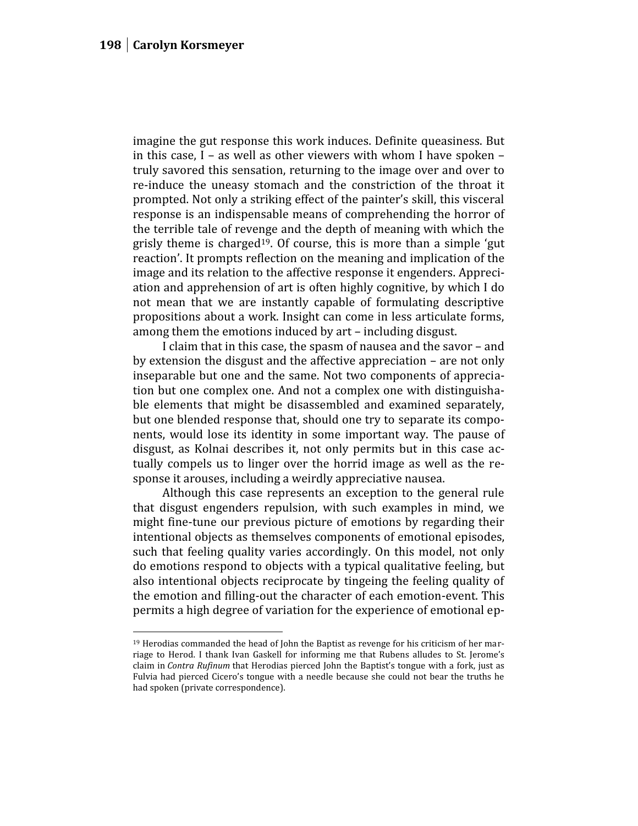imagine the gut response this work induces. Definite queasiness. But in this case, I – as well as other viewers with whom I have spoken – truly savored this sensation, returning to the image over and over to re-induce the uneasy stomach and the constriction of the throat it prompted. Not only a striking effect of the painter's skill, this visceral response is an indispensable means of comprehending the horror of the terrible tale of revenge and the depth of meaning with which the grisly theme is charged<sup>19</sup>. Of course, this is more than a simple 'gut reaction'. It prompts reflection on the meaning and implication of the image and its relation to the affective response it engenders. Appreciation and apprehension of art is often highly cognitive, by which I do not mean that we are instantly capable of formulating descriptive propositions about a work. Insight can come in less articulate forms, among them the emotions induced by art – including disgust.

I claim that in this case, the spasm of nausea and the savor – and by extension the disgust and the affective appreciation – are not only inseparable but one and the same. Not two components of appreciation but one complex one. And not a complex one with distinguishable elements that might be disassembled and examined separately, but one blended response that, should one try to separate its components, would lose its identity in some important way. The pause of disgust, as Kolnai describes it, not only permits but in this case actually compels us to linger over the horrid image as well as the response it arouses, including a weirdly appreciative nausea.

Although this case represents an exception to the general rule that disgust engenders repulsion, with such examples in mind, we might fine-tune our previous picture of emotions by regarding their intentional objects as themselves components of emotional episodes, such that feeling quality varies accordingly. On this model, not only do emotions respond to objects with a typical qualitative feeling, but also intentional objects reciprocate by tingeing the feeling quality of the emotion and filling-out the character of each emotion-event. This permits a high degree of variation for the experience of emotional ep-

<sup>19</sup> Herodias commanded the head of John the Baptist as revenge for his criticism of her mar riage to Herod. I thank Ivan Gaskell for informing me that Rubens alludes to St. Jerome's claim in *Contra Rufinum* that Herodias pierced John the Baptist's tongue with a fork, just as Fulvia had pierced Cicero's tongue with a needle because she could not bear the truths he had spoken (private correspondence).